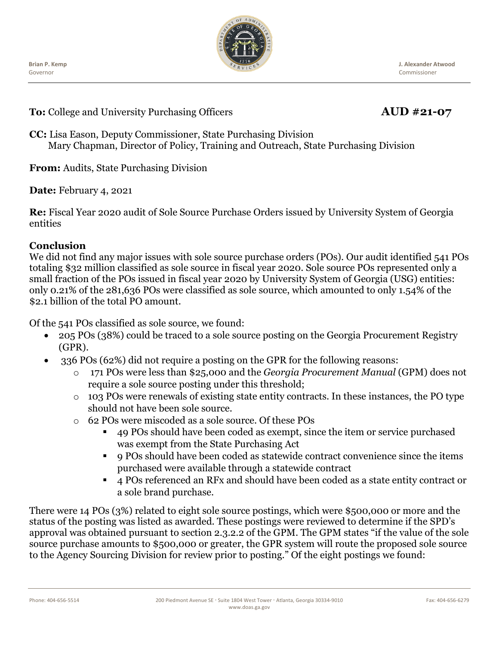

**J. Alexander Atwood** Commissioner

**To:** College and University Purchasing Officers **AUD #21-07** 

**CC:** Lisa Eason, Deputy Commissioner, State Purchasing Division Mary Chapman, Director of Policy, Training and Outreach, State Purchasing Division

**From:** Audits, State Purchasing Division

**Date:** February 4, 2021

**Re:** Fiscal Year 2020 audit of Sole Source Purchase Orders issued by University System of Georgia entities

#### **Conclusion**

We did not find any major issues with sole source purchase orders (POs). Our audit identified 541 POs totaling \$32 million classified as sole source in fiscal year 2020. Sole source POs represented only a small fraction of the POs issued in fiscal year 2020 by University System of Georgia (USG) entities: only 0.21% of the 281,636 POs were classified as sole source, which amounted to only 1.54% of the \$2.1 billion of the total PO amount.

Of the 541 POs classified as sole source, we found:

- 205 POs (38%) could be traced to a sole source posting on the Georgia Procurement Registry (GPR).
- 336 POs (62%) did not require a posting on the GPR for the following reasons:
	- o 171 POs were less than \$25,000 and the *Georgia Procurement Manual* (GPM) does not require a sole source posting under this threshold;
	- o 103 POs were renewals of existing state entity contracts. In these instances, the PO type should not have been sole source.
	- o 62 POs were miscoded as a sole source. Of these POs
		- 49 POs should have been coded as exempt, since the item or service purchased was exempt from the State Purchasing Act
		- 9 POs should have been coded as statewide contract convenience since the items purchased were available through a statewide contract
		- <sup>4</sup> 4 POs referenced an RFx and should have been coded as a state entity contract or a sole brand purchase.

There were 14 POs (3%) related to eight sole source postings, which were \$500,000 or more and the status of the posting was listed as awarded. These postings were reviewed to determine if the SPD's approval was obtained pursuant to section 2.3.2.2 of the GPM. The GPM states "if the value of the sole source purchase amounts to \$500,000 or greater, the GPR system will route the proposed sole source to the Agency Sourcing Division for review prior to posting." Of the eight postings we found: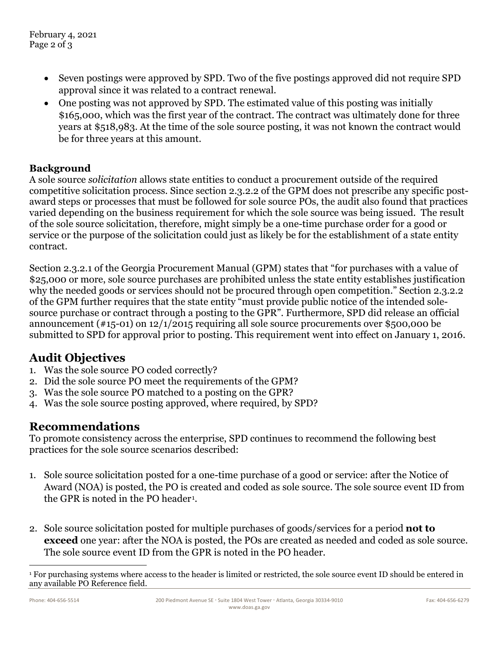- Seven postings were approved by SPD. Two of the five postings approved did not require SPD approval since it was related to a contract renewal.
- One posting was not approved by SPD. The estimated value of this posting was initially \$165,000, which was the first year of the contract. The contract was ultimately done for three years at \$518,983. At the time of the sole source posting, it was not known the contract would be for three years at this amount.

### **Background**

A sole source *solicitation* allows state entities to conduct a procurement outside of the required competitive solicitation process. Since section 2.3.2.2 of the GPM does not prescribe any specific postaward steps or processes that must be followed for sole source POs, the audit also found that practices varied depending on the business requirement for which the sole source was being issued. The result of the sole source solicitation, therefore, might simply be a one-time purchase order for a good or service or the purpose of the solicitation could just as likely be for the establishment of a state entity contract.

Section 2.3.2.1 of the Georgia Procurement Manual (GPM) states that "for purchases with a value of \$25,000 or more, sole source purchases are prohibited unless the state entity establishes justification why the needed goods or services should not be procured through open competition." Section 2.3.2.2 of the GPM further requires that the state entity "must provide public notice of the intended solesource purchase or contract through a posting to the GPR". Furthermore, SPD did release an official announcement (#15-01) on 12/1/2015 requiring all sole source procurements over \$500,000 be submitted to SPD for approval prior to posting. This requirement went into effect on January 1, 2016.

## **Audit Objectives**

- 1. Was the sole source PO coded correctly?
- 2. Did the sole source PO meet the requirements of the GPM?
- 3. Was the sole source PO matched to a posting on the GPR?
- 4. Was the sole source posting approved, where required, by SPD?

# **Recommendations**

To promote consistency across the enterprise, SPD continues to recommend the following best practices for the sole source scenarios described:

- 1. Sole source solicitation posted for a one-time purchase of a good or service: after the Notice of Award (NOA) is posted, the PO is created and coded as sole source. The sole source event ID from the GPR is noted in the PO header<sup>[1](#page-1-0)</sup>.
- 2. Sole source solicitation posted for multiple purchases of goods/services for a period **not to exceed** one year: after the NOA is posted, the POs are created as needed and coded as sole source. The sole source event ID from the GPR is noted in the PO header.

<span id="page-1-0"></span><sup>1</sup> For purchasing systems where access to the header is limited or restricted, the sole source event ID should be entered in any available PO Reference field.